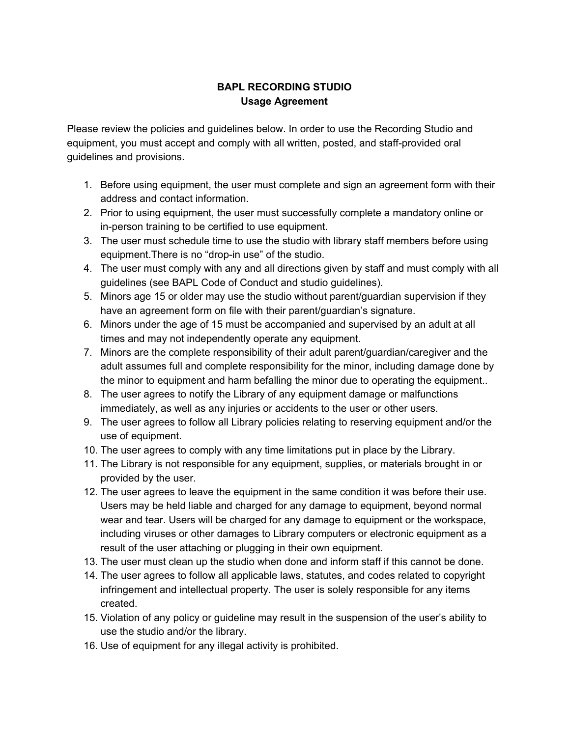## **BAPL RECORDING STUDIO Usage Agreement**

Please review the policies and guidelines below. In order to use the Recording Studio and equipment, you must accept and comply with all written, posted, and staff-provided oral guidelines and provisions.

- 1. Before using equipment, the user must complete and sign an agreement form with their address and contact information.
- 2. Prior to using equipment, the user must successfully complete a mandatory online or in-person training to be certified to use equipment.
- 3. The user must schedule time to use the studio with library staff members before using equipment.There is no "drop-in use" of the studio.
- 4. The user must comply with any and all directions given by staff and must comply with all guidelines (see BAPL Code of Conduct and studio guidelines).
- 5. Minors age 15 or older may use the studio without parent/guardian supervision if they have an agreement form on file with their parent/guardian's signature.
- 6. Minors under the age of 15 must be accompanied and supervised by an adult at all times and may not independently operate any equipment.
- 7. Minors are the complete responsibility of their adult parent/guardian/caregiver and the adult assumes full and complete responsibility for the minor, including damage done by the minor to equipment and harm befalling the minor due to operating the equipment..
- 8. The user agrees to notify the Library of any equipment damage or malfunctions immediately, as well as any injuries or accidents to the user or other users.
- 9. The user agrees to follow all Library policies relating to reserving equipment and/or the use of equipment.
- 10. The user agrees to comply with any time limitations put in place by the Library.
- 11. The Library is not responsible for any equipment, supplies, or materials brought in or provided by the user.
- 12. The user agrees to leave the equipment in the same condition it was before their use. Users may be held liable and charged for any damage to equipment, beyond normal wear and tear. Users will be charged for any damage to equipment or the workspace, including viruses or other damages to Library computers or electronic equipment as a result of the user attaching or plugging in their own equipment.
- 13. The user must clean up the studio when done and inform staff if this cannot be done.
- 14. The user agrees to follow all applicable laws, statutes, and codes related to copyright infringement and intellectual property. The user is solely responsible for any items created.
- 15. Violation of any policy or guideline may result in the suspension of the user's ability to use the studio and/or the library.
- 16. Use of equipment for any illegal activity is prohibited.